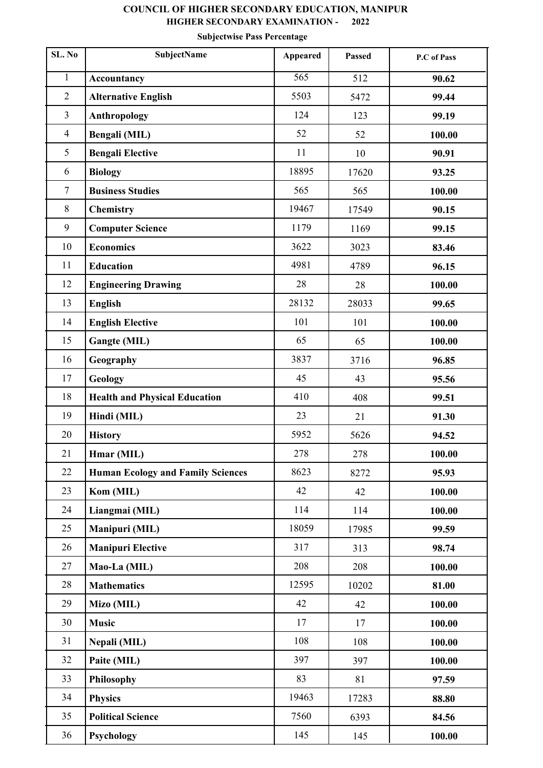## **COUNCIL OF HIGHER SECONDARY EDUCATION, MANIPUR HIGHER SECONDARY EXAMINATION - 2022**

## **Subjectwise Pass Percentage**

| SL. No         | <b>SubjectName</b>                       | Appeared         | <b>Passed</b> | P.C of Pass |
|----------------|------------------------------------------|------------------|---------------|-------------|
| $\mathbf{1}$   | <b>Accountancy</b>                       | $\overline{565}$ | 512           | 90.62       |
| $\overline{2}$ | <b>Alternative English</b>               | 5503             | 5472          | 99.44       |
| $\overline{3}$ | <b>Anthropology</b>                      | 124              | 123           | 99.19       |
| $\overline{4}$ | Bengali (MIL)                            | 52               | 52            | 100.00      |
| 5              | <b>Bengali Elective</b>                  | 11               | 10            | 90.91       |
| 6              | <b>Biology</b>                           | 18895            | 17620         | 93.25       |
| $\tau$         | <b>Business Studies</b>                  | 565              | 565           | 100.00      |
| $8\,$          | Chemistry                                | 19467            | 17549         | 90.15       |
| 9              | <b>Computer Science</b>                  | 1179             | 1169          | 99.15       |
| 10             | <b>Economics</b>                         | 3622             | 3023          | 83.46       |
| 11             | <b>Education</b>                         | 4981             | 4789          | 96.15       |
| 12             | <b>Engineering Drawing</b>               | 28               | 28            | 100.00      |
| 13             | <b>English</b>                           | 28132            | 28033         | 99.65       |
| 14             | <b>English Elective</b>                  | 101              | 101           | 100.00      |
| 15             | Gangte (MIL)                             | 65               | 65            | 100.00      |
| 16             | Geography                                | 3837             | 3716          | 96.85       |
| 17             | Geology                                  | 45               | 43            | 95.56       |
| 18             | <b>Health and Physical Education</b>     | 410              | 408           | 99.51       |
| 19             | Hindi (MIL)                              | 23               | 21            | 91.30       |
| 20             | <b>History</b>                           | 5952             | 5626          | 94.52       |
| 21             | Hmar (MIL)                               | 278              | 278           | 100.00      |
| 22             | <b>Human Ecology and Family Sciences</b> | 8623             | 8272          | 95.93       |
| 23             | Kom (MIL)                                | 42               | 42            | 100.00      |
| 24             | Liangmai (MIL)                           | 114              | 114           | 100.00      |
| 25             | Manipuri (MIL)                           | 18059            | 17985         | 99.59       |
| 26             | <b>Manipuri Elective</b>                 | 317              | 313           | 98.74       |
| 27             | Mao-La (MIL)                             | 208              | 208           | 100.00      |
| 28             | <b>Mathematics</b>                       | 12595            | 10202         | 81.00       |
| 29             | Mizo (MIL)                               | 42               | 42            | 100.00      |
| 30             | <b>Music</b>                             | 17               | 17            | 100.00      |
| 31             | Nepali (MIL)                             | 108              | 108           | 100.00      |
| 32             | Paite (MIL)                              | 397              | 397           | 100.00      |
| 33             | <b>Philosophy</b>                        | 83               | 81            | 97.59       |
| 34             | <b>Physics</b>                           | 19463            | 17283         | 88.80       |
| 35             | <b>Political Science</b>                 | 7560             | 6393          | 84.56       |
| 36             | <b>Psychology</b>                        | 145              | 145           | 100.00      |